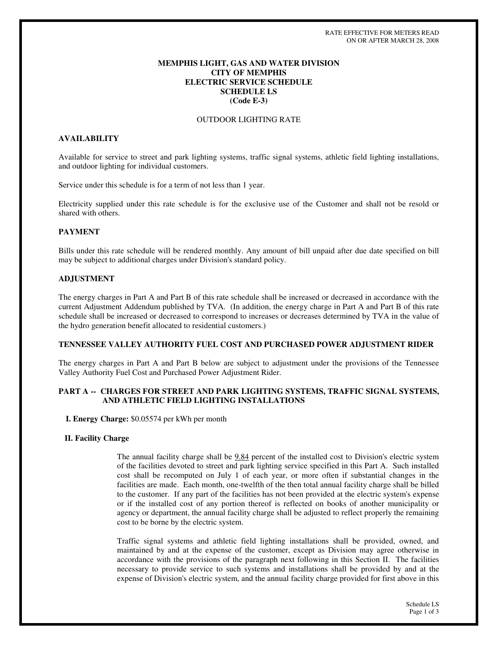## **MEMPHIS LIGHT, GAS AND WATER DIVISION CITY OF MEMPHIS ELECTRIC SERVICE SCHEDULE SCHEDULE LS (Code E-3)**

### OUTDOOR LIGHTING RATE

# **AVAILABILITY**

Available for service to street and park lighting systems, traffic signal systems, athletic field lighting installations, and outdoor lighting for individual customers.

Service under this schedule is for a term of not less than 1 year.

Electricity supplied under this rate schedule is for the exclusive use of the Customer and shall not be resold or shared with others.

### **PAYMENT**

Bills under this rate schedule will be rendered monthly. Any amount of bill unpaid after due date specified on bill may be subject to additional charges under Division's standard policy.

### **ADJUSTMENT**

The energy charges in Part A and Part B of this rate schedule shall be increased or decreased in accordance with the current Adjustment Addendum published by TVA. (In addition, the energy charge in Part A and Part B of this rate schedule shall be increased or decreased to correspond to increases or decreases determined by TVA in the value of the hydro generation benefit allocated to residential customers.)

### **TENNESSEE VALLEY AUTHORITY FUEL COST AND PURCHASED POWER ADJUSTMENT RIDER**

The energy charges in Part A and Part B below are subject to adjustment under the provisions of the Tennessee Valley Authority Fuel Cost and Purchased Power Adjustment Rider.

### **PART A -- CHARGES FOR STREET AND PARK LIGHTING SYSTEMS, TRAFFIC SIGNAL SYSTEMS, AND ATHLETIC FIELD LIGHTING INSTALLATIONS**

**I. Energy Charge:** \$0.05574 per kWh per month

### **II. Facility Charge**

The annual facility charge shall be 9.84 percent of the installed cost to Division's electric system of the facilities devoted to street and park lighting service specified in this Part A. Such installed cost shall be recomputed on July 1 of each year, or more often if substantial changes in the facilities are made. Each month, one-twelfth of the then total annual facility charge shall be billed to the customer. If any part of the facilities has not been provided at the electric system's expense or if the installed cost of any portion thereof is reflected on books of another municipality or agency or department, the annual facility charge shall be adjusted to reflect properly the remaining cost to be borne by the electric system.

Traffic signal systems and athletic field lighting installations shall be provided, owned, and maintained by and at the expense of the customer, except as Division may agree otherwise in accordance with the provisions of the paragraph next following in this Section II. The facilities necessary to provide service to such systems and installations shall be provided by and at the expense of Division's electric system, and the annual facility charge provided for first above in this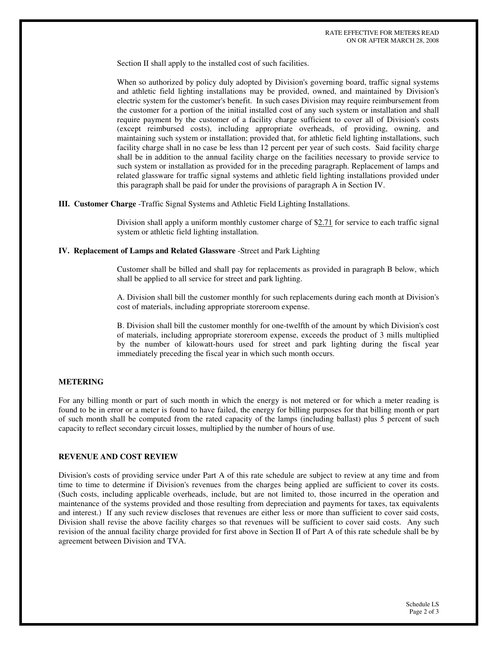Section II shall apply to the installed cost of such facilities.

When so authorized by policy duly adopted by Division's governing board, traffic signal systems and athletic field lighting installations may be provided, owned, and maintained by Division's electric system for the customer's benefit. In such cases Division may require reimbursement from the customer for a portion of the initial installed cost of any such system or installation and shall require payment by the customer of a facility charge sufficient to cover all of Division's costs (except reimbursed costs), including appropriate overheads, of providing, owning, and maintaining such system or installation; provided that, for athletic field lighting installations, such facility charge shall in no case be less than 12 percent per year of such costs. Said facility charge shall be in addition to the annual facility charge on the facilities necessary to provide service to such system or installation as provided for in the preceding paragraph. Replacement of lamps and related glassware for traffic signal systems and athletic field lighting installations provided under this paragraph shall be paid for under the provisions of paragraph A in Section IV.

**III. Customer Charge** -Traffic Signal Systems and Athletic Field Lighting Installations.

Division shall apply a uniform monthly customer charge of \$2.71 for service to each traffic signal system or athletic field lighting installation.

#### **IV. Replacement of Lamps and Related Glassware** -Street and Park Lighting

Customer shall be billed and shall pay for replacements as provided in paragraph B below, which shall be applied to all service for street and park lighting.

A. Division shall bill the customer monthly for such replacements during each month at Division's cost of materials, including appropriate storeroom expense.

B. Division shall bill the customer monthly for one-twelfth of the amount by which Division's cost of materials, including appropriate storeroom expense, exceeds the product of 3 mills multiplied by the number of kilowatt-hours used for street and park lighting during the fiscal year immediately preceding the fiscal year in which such month occurs.

#### **METERING**

For any billing month or part of such month in which the energy is not metered or for which a meter reading is found to be in error or a meter is found to have failed, the energy for billing purposes for that billing month or part of such month shall be computed from the rated capacity of the lamps (including ballast) plus 5 percent of such capacity to reflect secondary circuit losses, multiplied by the number of hours of use.

### **REVENUE AND COST REVIEW**

Division's costs of providing service under Part A of this rate schedule are subject to review at any time and from time to time to determine if Division's revenues from the charges being applied are sufficient to cover its costs. (Such costs, including applicable overheads, include, but are not limited to, those incurred in the operation and maintenance of the systems provided and those resulting from depreciation and payments for taxes, tax equivalents and interest.) If any such review discloses that revenues are either less or more than sufficient to cover said costs, Division shall revise the above facility charges so that revenues will be sufficient to cover said costs. Any such revision of the annual facility charge provided for first above in Section II of Part A of this rate schedule shall be by agreement between Division and TVA.